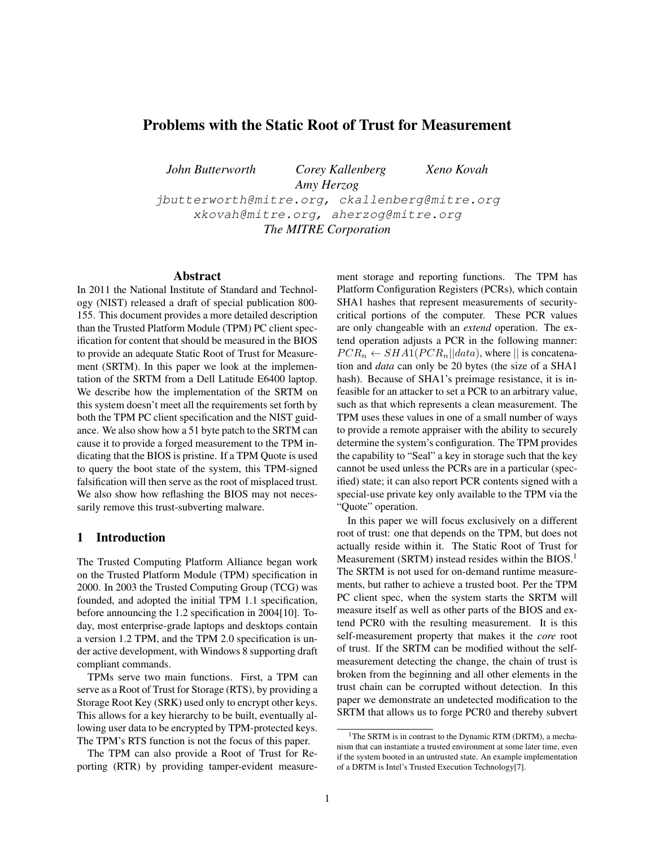# Problems with the Static Root of Trust for Measurement

*John Butterworth Corey Kallenberg Xeno Kovah Amy Herzog* jbutterworth@mitre.org, ckallenberg@mitre.org xkovah@mitre.org, aherzog@mitre.org *The MITRE Corporation*

#### Abstract

In 2011 the National Institute of Standard and Technology (NIST) released a draft of special publication 800- 155. This document provides a more detailed description than the Trusted Platform Module (TPM) PC client specification for content that should be measured in the BIOS to provide an adequate Static Root of Trust for Measurement (SRTM). In this paper we look at the implementation of the SRTM from a Dell Latitude E6400 laptop. We describe how the implementation of the SRTM on this system doesn't meet all the requirements set forth by both the TPM PC client specification and the NIST guidance. We also show how a 51 byte patch to the SRTM can cause it to provide a forged measurement to the TPM indicating that the BIOS is pristine. If a TPM Quote is used to query the boot state of the system, this TPM-signed falsification will then serve as the root of misplaced trust. We also show how reflashing the BIOS may not necessarily remove this trust-subverting malware.

#### 1 Introduction

The Trusted Computing Platform Alliance began work on the Trusted Platform Module (TPM) specification in 2000. In 2003 the Trusted Computing Group (TCG) was founded, and adopted the initial TPM 1.1 specification, before announcing the 1.2 specification in 2004[10]. Today, most enterprise-grade laptops and desktops contain a version 1.2 TPM, and the TPM 2.0 specification is under active development, with Windows 8 supporting draft compliant commands.

TPMs serve two main functions. First, a TPM can serve as a Root of Trust for Storage (RTS), by providing a Storage Root Key (SRK) used only to encrypt other keys. This allows for a key hierarchy to be built, eventually allowing user data to be encrypted by TPM-protected keys. The TPM's RTS function is not the focus of this paper.

The TPM can also provide a Root of Trust for Reporting (RTR) by providing tamper-evident measurement storage and reporting functions. The TPM has Platform Configuration Registers (PCRs), which contain SHA1 hashes that represent measurements of securitycritical portions of the computer. These PCR values are only changeable with an *extend* operation. The extend operation adjusts a PCR in the following manner:  $PCR_n \leftarrow SHA1(PCR_n||data)$ , where || is concatenation and *data* can only be 20 bytes (the size of a SHA1 hash). Because of SHA1's preimage resistance, it is infeasible for an attacker to set a PCR to an arbitrary value, such as that which represents a clean measurement. The TPM uses these values in one of a small number of ways to provide a remote appraiser with the ability to securely determine the system's configuration. The TPM provides the capability to "Seal" a key in storage such that the key cannot be used unless the PCRs are in a particular (specified) state; it can also report PCR contents signed with a special-use private key only available to the TPM via the "Quote" operation.

In this paper we will focus exclusively on a different root of trust: one that depends on the TPM, but does not actually reside within it. The Static Root of Trust for Measurement (SRTM) instead resides within the BIOS.<sup>1</sup> The SRTM is not used for on-demand runtime measurements, but rather to achieve a trusted boot. Per the TPM PC client spec, when the system starts the SRTM will measure itself as well as other parts of the BIOS and extend PCR0 with the resulting measurement. It is this self-measurement property that makes it the *core* root of trust. If the SRTM can be modified without the selfmeasurement detecting the change, the chain of trust is broken from the beginning and all other elements in the trust chain can be corrupted without detection. In this paper we demonstrate an undetected modification to the SRTM that allows us to forge PCR0 and thereby subvert

<sup>&</sup>lt;sup>1</sup>The SRTM is in contrast to the Dynamic RTM (DRTM), a mechanism that can instantiate a trusted environment at some later time, even if the system booted in an untrusted state. An example implementation of a DRTM is Intel's Trusted Execution Technology[7].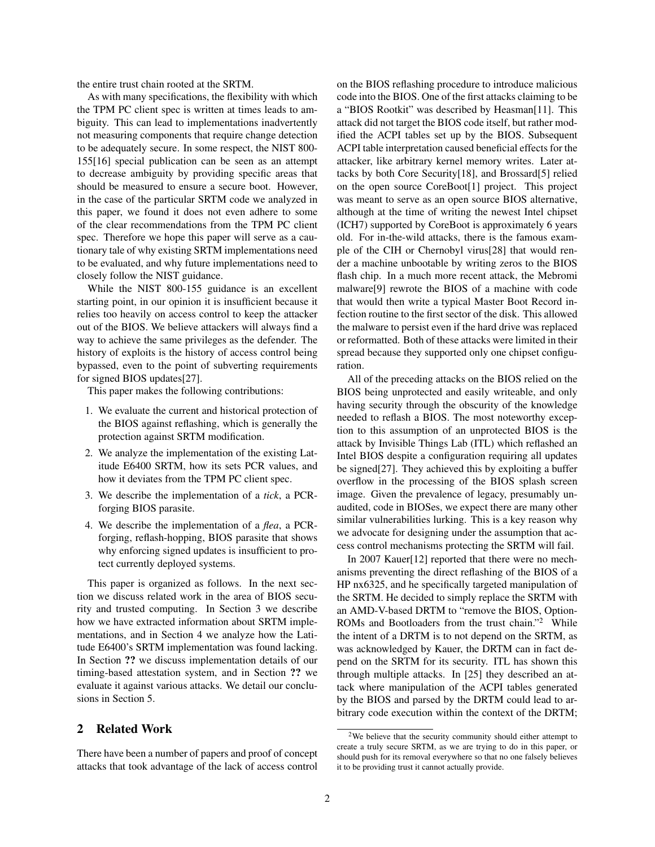the entire trust chain rooted at the SRTM.

As with many specifications, the flexibility with which the TPM PC client spec is written at times leads to ambiguity. This can lead to implementations inadvertently not measuring components that require change detection to be adequately secure. In some respect, the NIST 800- 155[16] special publication can be seen as an attempt to decrease ambiguity by providing specific areas that should be measured to ensure a secure boot. However, in the case of the particular SRTM code we analyzed in this paper, we found it does not even adhere to some of the clear recommendations from the TPM PC client spec. Therefore we hope this paper will serve as a cautionary tale of why existing SRTM implementations need to be evaluated, and why future implementations need to closely follow the NIST guidance.

While the NIST 800-155 guidance is an excellent starting point, in our opinion it is insufficient because it relies too heavily on access control to keep the attacker out of the BIOS. We believe attackers will always find a way to achieve the same privileges as the defender. The history of exploits is the history of access control being bypassed, even to the point of subverting requirements for signed BIOS updates[27].

This paper makes the following contributions:

- 1. We evaluate the current and historical protection of the BIOS against reflashing, which is generally the protection against SRTM modification.
- 2. We analyze the implementation of the existing Latitude E6400 SRTM, how its sets PCR values, and how it deviates from the TPM PC client spec.
- 3. We describe the implementation of a *tick*, a PCRforging BIOS parasite.
- 4. We describe the implementation of a *flea*, a PCRforging, reflash-hopping, BIOS parasite that shows why enforcing signed updates is insufficient to protect currently deployed systems.

This paper is organized as follows. In the next section we discuss related work in the area of BIOS security and trusted computing. In Section 3 we describe how we have extracted information about SRTM implementations, and in Section 4 we analyze how the Latitude E6400's SRTM implementation was found lacking. In Section ?? we discuss implementation details of our timing-based attestation system, and in Section ?? we evaluate it against various attacks. We detail our conclusions in Section 5.

## 2 Related Work

There have been a number of papers and proof of concept attacks that took advantage of the lack of access control on the BIOS reflashing procedure to introduce malicious code into the BIOS. One of the first attacks claiming to be a "BIOS Rootkit" was described by Heasman[11]. This attack did not target the BIOS code itself, but rather modified the ACPI tables set up by the BIOS. Subsequent ACPI table interpretation caused beneficial effects for the attacker, like arbitrary kernel memory writes. Later attacks by both Core Security[18], and Brossard[5] relied on the open source CoreBoot[1] project. This project was meant to serve as an open source BIOS alternative, although at the time of writing the newest Intel chipset (ICH7) supported by CoreBoot is approximately 6 years old. For in-the-wild attacks, there is the famous example of the CIH or Chernobyl virus[28] that would render a machine unbootable by writing zeros to the BIOS flash chip. In a much more recent attack, the Mebromi malware[9] rewrote the BIOS of a machine with code that would then write a typical Master Boot Record infection routine to the first sector of the disk. This allowed the malware to persist even if the hard drive was replaced or reformatted. Both of these attacks were limited in their spread because they supported only one chipset configuration.

All of the preceding attacks on the BIOS relied on the BIOS being unprotected and easily writeable, and only having security through the obscurity of the knowledge needed to reflash a BIOS. The most noteworthy exception to this assumption of an unprotected BIOS is the attack by Invisible Things Lab (ITL) which reflashed an Intel BIOS despite a configuration requiring all updates be signed[27]. They achieved this by exploiting a buffer overflow in the processing of the BIOS splash screen image. Given the prevalence of legacy, presumably unaudited, code in BIOSes, we expect there are many other similar vulnerabilities lurking. This is a key reason why we advocate for designing under the assumption that access control mechanisms protecting the SRTM will fail.

In 2007 Kauer[12] reported that there were no mechanisms preventing the direct reflashing of the BIOS of a HP nx6325, and he specifically targeted manipulation of the SRTM. He decided to simply replace the SRTM with an AMD-V-based DRTM to "remove the BIOS, Option-ROMs and Bootloaders from the trust chain."<sup>2</sup> While the intent of a DRTM is to not depend on the SRTM, as was acknowledged by Kauer, the DRTM can in fact depend on the SRTM for its security. ITL has shown this through multiple attacks. In [25] they described an attack where manipulation of the ACPI tables generated by the BIOS and parsed by the DRTM could lead to arbitrary code execution within the context of the DRTM;

<sup>2</sup>We believe that the security community should either attempt to create a truly secure SRTM, as we are trying to do in this paper, or should push for its removal everywhere so that no one falsely believes it to be providing trust it cannot actually provide.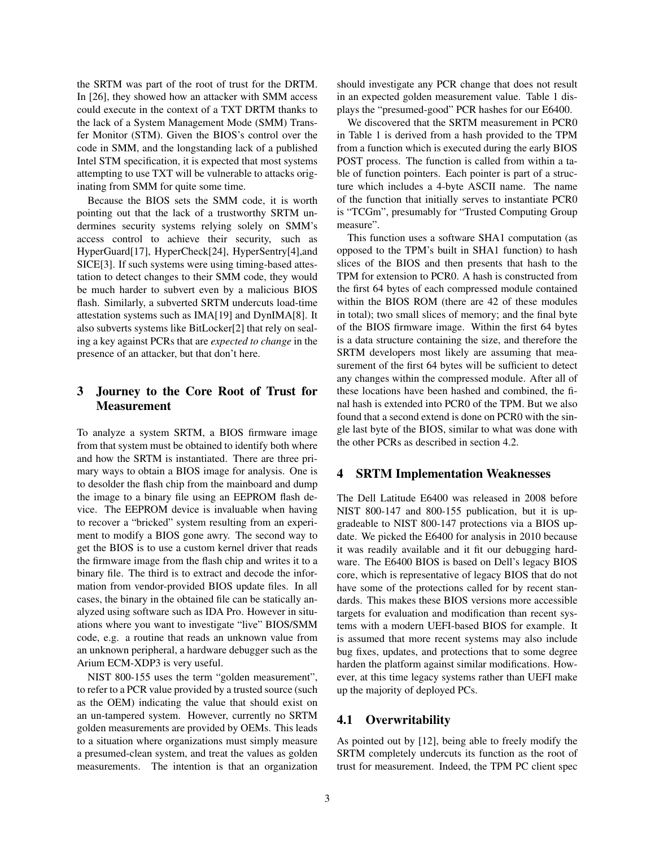the SRTM was part of the root of trust for the DRTM. In [26], they showed how an attacker with SMM access could execute in the context of a TXT DRTM thanks to the lack of a System Management Mode (SMM) Transfer Monitor (STM). Given the BIOS's control over the code in SMM, and the longstanding lack of a published Intel STM specification, it is expected that most systems attempting to use TXT will be vulnerable to attacks originating from SMM for quite some time.

Because the BIOS sets the SMM code, it is worth pointing out that the lack of a trustworthy SRTM undermines security systems relying solely on SMM's access control to achieve their security, such as HyperGuard[17], HyperCheck[24], HyperSentry[4],and SICE[3]. If such systems were using timing-based attestation to detect changes to their SMM code, they would be much harder to subvert even by a malicious BIOS flash. Similarly, a subverted SRTM undercuts load-time attestation systems such as IMA[19] and DynIMA[8]. It also subverts systems like BitLocker[2] that rely on sealing a key against PCRs that are *expected to change* in the presence of an attacker, but that don't here.

## 3 Journey to the Core Root of Trust for Measurement

To analyze a system SRTM, a BIOS firmware image from that system must be obtained to identify both where and how the SRTM is instantiated. There are three primary ways to obtain a BIOS image for analysis. One is to desolder the flash chip from the mainboard and dump the image to a binary file using an EEPROM flash device. The EEPROM device is invaluable when having to recover a "bricked" system resulting from an experiment to modify a BIOS gone awry. The second way to get the BIOS is to use a custom kernel driver that reads the firmware image from the flash chip and writes it to a binary file. The third is to extract and decode the information from vendor-provided BIOS update files. In all cases, the binary in the obtained file can be statically analyzed using software such as IDA Pro. However in situations where you want to investigate "live" BIOS/SMM code, e.g. a routine that reads an unknown value from an unknown peripheral, a hardware debugger such as the Arium ECM-XDP3 is very useful.

NIST 800-155 uses the term "golden measurement", to refer to a PCR value provided by a trusted source (such as the OEM) indicating the value that should exist on an un-tampered system. However, currently no SRTM golden measurements are provided by OEMs. This leads to a situation where organizations must simply measure a presumed-clean system, and treat the values as golden measurements. The intention is that an organization should investigate any PCR change that does not result in an expected golden measurement value. Table 1 displays the "presumed-good" PCR hashes for our E6400.

We discovered that the SRTM measurement in PCR0 in Table 1 is derived from a hash provided to the TPM from a function which is executed during the early BIOS POST process. The function is called from within a table of function pointers. Each pointer is part of a structure which includes a 4-byte ASCII name. The name of the function that initially serves to instantiate PCR0 is "TCGm", presumably for "Trusted Computing Group measure".

This function uses a software SHA1 computation (as opposed to the TPM's built in SHA1 function) to hash slices of the BIOS and then presents that hash to the TPM for extension to PCR0. A hash is constructed from the first 64 bytes of each compressed module contained within the BIOS ROM (there are 42 of these modules in total); two small slices of memory; and the final byte of the BIOS firmware image. Within the first 64 bytes is a data structure containing the size, and therefore the SRTM developers most likely are assuming that measurement of the first 64 bytes will be sufficient to detect any changes within the compressed module. After all of these locations have been hashed and combined, the final hash is extended into PCR0 of the TPM. But we also found that a second extend is done on PCR0 with the single last byte of the BIOS, similar to what was done with the other PCRs as described in section 4.2.

#### 4 SRTM Implementation Weaknesses

The Dell Latitude E6400 was released in 2008 before NIST 800-147 and 800-155 publication, but it is upgradeable to NIST 800-147 protections via a BIOS update. We picked the E6400 for analysis in 2010 because it was readily available and it fit our debugging hardware. The E6400 BIOS is based on Dell's legacy BIOS core, which is representative of legacy BIOS that do not have some of the protections called for by recent standards. This makes these BIOS versions more accessible targets for evaluation and modification than recent systems with a modern UEFI-based BIOS for example. It is assumed that more recent systems may also include bug fixes, updates, and protections that to some degree harden the platform against similar modifications. However, at this time legacy systems rather than UEFI make up the majority of deployed PCs.

### 4.1 Overwritability

As pointed out by [12], being able to freely modify the SRTM completely undercuts its function as the root of trust for measurement. Indeed, the TPM PC client spec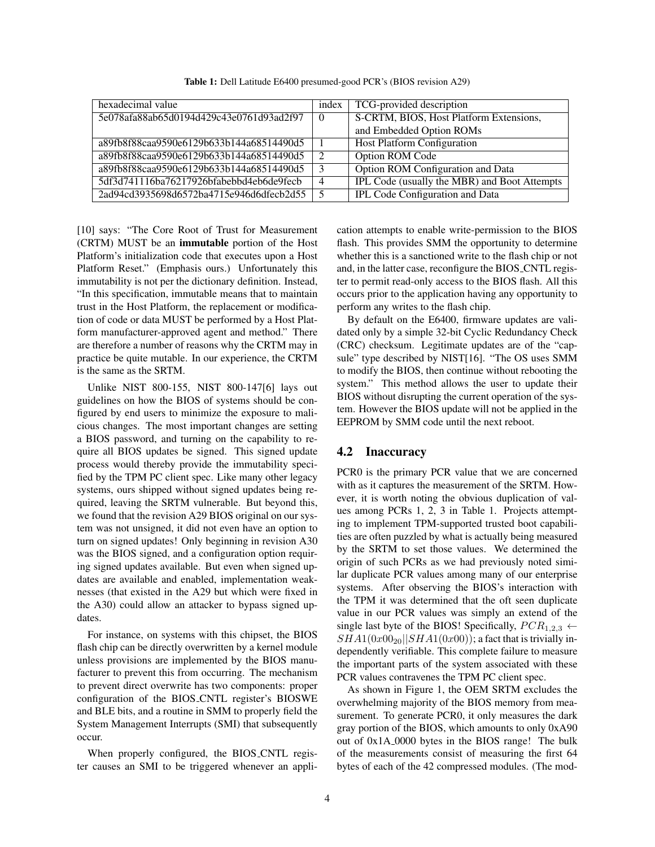| hexadecimal value                        | index    | TCG-provided description                     |
|------------------------------------------|----------|----------------------------------------------|
| 5e078afa88ab65d0194d429c43e0761d93ad2f97 | $\Omega$ | S-CRTM, BIOS, Host Platform Extensions,      |
|                                          |          | and Embedded Option ROMs                     |
| a89fb8f88caa9590e6129b633b144a68514490d5 |          | <b>Host Platform Configuration</b>           |
| a89fb8f88caa9590e6129b633b144a68514490d5 | 2        | <b>Option ROM Code</b>                       |
| a89fb8f88caa9590e6129b633b144a68514490d5 | 3        | Option ROM Configuration and Data            |
| 5df3d741116ba76217926bfabebbd4eb6de9fecb | 4        | IPL Code (usually the MBR) and Boot Attempts |
| 2ad94cd3935698d6572ba4715e946d6dfecb2d55 | 5        | <b>IPL Code Configuration and Data</b>       |

Table 1: Dell Latitude E6400 presumed-good PCR's (BIOS revision A29)

[10] says: "The Core Root of Trust for Measurement (CRTM) MUST be an immutable portion of the Host Platform's initialization code that executes upon a Host Platform Reset." (Emphasis ours.) Unfortunately this immutability is not per the dictionary definition. Instead, "In this specification, immutable means that to maintain trust in the Host Platform, the replacement or modification of code or data MUST be performed by a Host Platform manufacturer-approved agent and method." There are therefore a number of reasons why the CRTM may in practice be quite mutable. In our experience, the CRTM is the same as the SRTM.

Unlike NIST 800-155, NIST 800-147[6] lays out guidelines on how the BIOS of systems should be configured by end users to minimize the exposure to malicious changes. The most important changes are setting a BIOS password, and turning on the capability to require all BIOS updates be signed. This signed update process would thereby provide the immutability specified by the TPM PC client spec. Like many other legacy systems, ours shipped without signed updates being required, leaving the SRTM vulnerable. But beyond this, we found that the revision A29 BIOS original on our system was not unsigned, it did not even have an option to turn on signed updates! Only beginning in revision A30 was the BIOS signed, and a configuration option requiring signed updates available. But even when signed updates are available and enabled, implementation weaknesses (that existed in the A29 but which were fixed in the A30) could allow an attacker to bypass signed updates.

For instance, on systems with this chipset, the BIOS flash chip can be directly overwritten by a kernel module unless provisions are implemented by the BIOS manufacturer to prevent this from occurring. The mechanism to prevent direct overwrite has two components: proper configuration of the BIOS CNTL register's BIOSWE and BLE bits, and a routine in SMM to properly field the System Management Interrupts (SMI) that subsequently occur.

When properly configured, the BIOS CNTL register causes an SMI to be triggered whenever an application attempts to enable write-permission to the BIOS flash. This provides SMM the opportunity to determine whether this is a sanctioned write to the flash chip or not and, in the latter case, reconfigure the BIOS CNTL register to permit read-only access to the BIOS flash. All this occurs prior to the application having any opportunity to perform any writes to the flash chip.

By default on the E6400, firmware updates are validated only by a simple 32-bit Cyclic Redundancy Check (CRC) checksum. Legitimate updates are of the "capsule" type described by NIST[16]. "The OS uses SMM to modify the BIOS, then continue without rebooting the system." This method allows the user to update their BIOS without disrupting the current operation of the system. However the BIOS update will not be applied in the EEPROM by SMM code until the next reboot.

#### 4.2 Inaccuracy

PCR0 is the primary PCR value that we are concerned with as it captures the measurement of the SRTM. However, it is worth noting the obvious duplication of values among PCRs 1, 2, 3 in Table 1. Projects attempting to implement TPM-supported trusted boot capabilities are often puzzled by what is actually being measured by the SRTM to set those values. We determined the origin of such PCRs as we had previously noted similar duplicate PCR values among many of our enterprise systems. After observing the BIOS's interaction with the TPM it was determined that the oft seen duplicate value in our PCR values was simply an extend of the single last byte of the BIOS! Specifically,  $PCR_{1,2,3} \leftarrow$  $SHA1(0x00_{20}||SHA1(0x00));$  a fact that is trivially independently verifiable. This complete failure to measure the important parts of the system associated with these PCR values contravenes the TPM PC client spec.

As shown in Figure 1, the OEM SRTM excludes the overwhelming majority of the BIOS memory from measurement. To generate PCR0, it only measures the dark gray portion of the BIOS, which amounts to only 0xA90 out of 0x1A 0000 bytes in the BIOS range! The bulk of the measurements consist of measuring the first 64 bytes of each of the 42 compressed modules. (The mod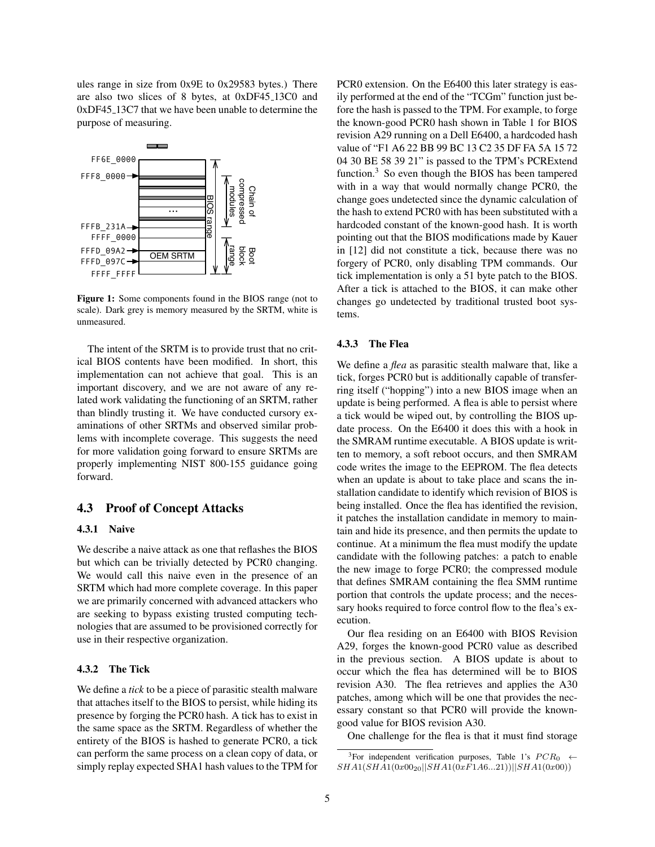ules range in size from 0x9E to 0x29583 bytes.) There are also two slices of 8 bytes, at 0xDF45 13C0 and 0xDF45 13C7 that we have been unable to determine the purpose of measuring.



Figure 1: Some components found in the BIOS range (not to scale). Dark grey is memory measured by the SRTM, white is unmeasured.

The intent of the SRTM is to provide trust that no critical BIOS contents have been modified. In short, this implementation can not achieve that goal. This is an important discovery, and we are not aware of any related work validating the functioning of an SRTM, rather than blindly trusting it. We have conducted cursory examinations of other SRTMs and observed similar problems with incomplete coverage. This suggests the need for more validation going forward to ensure SRTMs are properly implementing NIST 800-155 guidance going forward.

### 4.3 Proof of Concept Attacks

## 4.3.1 Naive

We describe a naive attack as one that reflashes the BIOS but which can be trivially detected by PCR0 changing. We would call this naive even in the presence of an SRTM which had more complete coverage. In this paper we are primarily concerned with advanced attackers who are seeking to bypass existing trusted computing technologies that are assumed to be provisioned correctly for use in their respective organization.

### 4.3.2 The Tick

We define a *tick* to be a piece of parasitic stealth malware that attaches itself to the BIOS to persist, while hiding its presence by forging the PCR0 hash. A tick has to exist in the same space as the SRTM. Regardless of whether the entirety of the BIOS is hashed to generate PCR0, a tick can perform the same process on a clean copy of data, or simply replay expected SHA1 hash values to the TPM for PCR0 extension. On the E6400 this later strategy is easily performed at the end of the "TCGm" function just before the hash is passed to the TPM. For example, to forge the known-good PCR0 hash shown in Table 1 for BIOS revision A29 running on a Dell E6400, a hardcoded hash value of "F1 A6 22 BB 99 BC 13 C2 35 DF FA 5A 15 72 04 30 BE 58 39 21" is passed to the TPM's PCRExtend function.<sup>3</sup> So even though the BIOS has been tampered with in a way that would normally change PCR0, the change goes undetected since the dynamic calculation of the hash to extend PCR0 with has been substituted with a hardcoded constant of the known-good hash. It is worth pointing out that the BIOS modifications made by Kauer in [12] did not constitute a tick, because there was no forgery of PCR0, only disabling TPM commands. Our tick implementation is only a 51 byte patch to the BIOS. After a tick is attached to the BIOS, it can make other changes go undetected by traditional trusted boot systems.

#### 4.3.3 The Flea

We define a *flea* as parasitic stealth malware that, like a tick, forges PCR0 but is additionally capable of transferring itself ("hopping") into a new BIOS image when an update is being performed. A flea is able to persist where a tick would be wiped out, by controlling the BIOS update process. On the E6400 it does this with a hook in the SMRAM runtime executable. A BIOS update is written to memory, a soft reboot occurs, and then SMRAM code writes the image to the EEPROM. The flea detects when an update is about to take place and scans the installation candidate to identify which revision of BIOS is being installed. Once the flea has identified the revision, it patches the installation candidate in memory to maintain and hide its presence, and then permits the update to continue. At a minimum the flea must modify the update candidate with the following patches: a patch to enable the new image to forge PCR0; the compressed module that defines SMRAM containing the flea SMM runtime portion that controls the update process; and the necessary hooks required to force control flow to the flea's execution.

Our flea residing on an E6400 with BIOS Revision A29, forges the known-good PCR0 value as described in the previous section. A BIOS update is about to occur which the flea has determined will be to BIOS revision A30. The flea retrieves and applies the A30 patches, among which will be one that provides the necessary constant so that PCR0 will provide the knowngood value for BIOS revision A30.

One challenge for the flea is that it must find storage

<sup>&</sup>lt;sup>3</sup>For independent verification purposes, Table 1's  $PCR_0 \leftarrow$  $SHA1(SHA1(0x00_{20}||SHA1(0xF1A6...21))||SHA1(0x00))$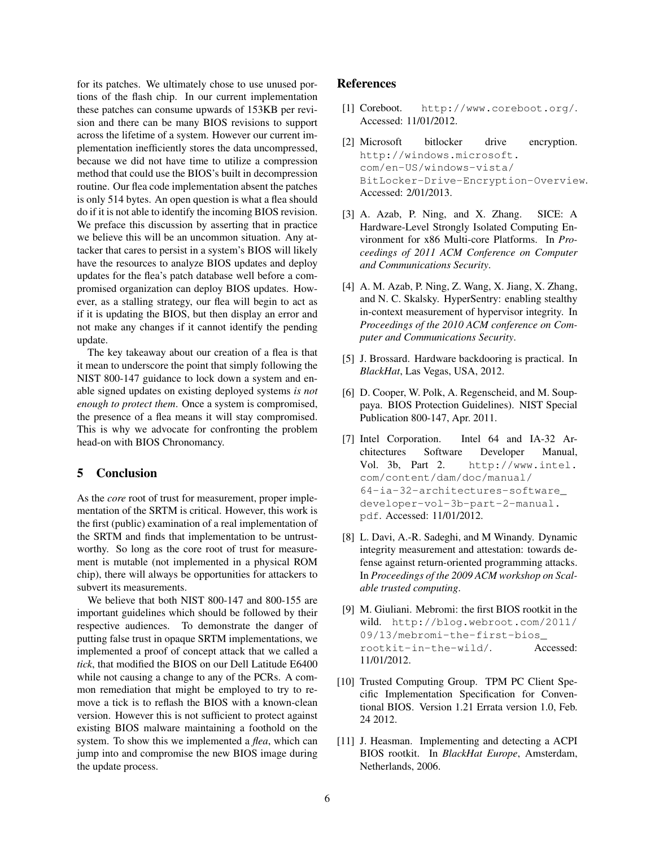for its patches. We ultimately chose to use unused portions of the flash chip. In our current implementation these patches can consume upwards of 153KB per revision and there can be many BIOS revisions to support across the lifetime of a system. However our current implementation inefficiently stores the data uncompressed, because we did not have time to utilize a compression method that could use the BIOS's built in decompression routine. Our flea code implementation absent the patches is only 514 bytes. An open question is what a flea should do if it is not able to identify the incoming BIOS revision. We preface this discussion by asserting that in practice we believe this will be an uncommon situation. Any attacker that cares to persist in a system's BIOS will likely have the resources to analyze BIOS updates and deploy updates for the flea's patch database well before a compromised organization can deploy BIOS updates. However, as a stalling strategy, our flea will begin to act as if it is updating the BIOS, but then display an error and not make any changes if it cannot identify the pending update.

The key takeaway about our creation of a flea is that it mean to underscore the point that simply following the NIST 800-147 guidance to lock down a system and enable signed updates on existing deployed systems *is not enough to protect them*. Once a system is compromised, the presence of a flea means it will stay compromised. This is why we advocate for confronting the problem head-on with BIOS Chronomancy.

#### 5 Conclusion

As the *core* root of trust for measurement, proper implementation of the SRTM is critical. However, this work is the first (public) examination of a real implementation of the SRTM and finds that implementation to be untrustworthy. So long as the core root of trust for measurement is mutable (not implemented in a physical ROM chip), there will always be opportunities for attackers to subvert its measurements.

We believe that both NIST 800-147 and 800-155 are important guidelines which should be followed by their respective audiences. To demonstrate the danger of putting false trust in opaque SRTM implementations, we implemented a proof of concept attack that we called a *tick*, that modified the BIOS on our Dell Latitude E6400 while not causing a change to any of the PCRs. A common remediation that might be employed to try to remove a tick is to reflash the BIOS with a known-clean version. However this is not sufficient to protect against existing BIOS malware maintaining a foothold on the system. To show this we implemented a *flea*, which can jump into and compromise the new BIOS image during the update process.

#### References

- [1] Coreboot. http://www.coreboot.org/. Accessed: 11/01/2012.
- [2] Microsoft bitlocker drive encryption. http://windows.microsoft. com/en-US/windows-vista/ BitLocker-Drive-Encryption-Overview. Accessed: 2/01/2013.
- [3] A. Azab, P. Ning, and X. Zhang. SICE: A Hardware-Level Strongly Isolated Computing Environment for x86 Multi-core Platforms. In *Proceedings of 2011 ACM Conference on Computer and Communications Security*.
- [4] A. M. Azab, P. Ning, Z. Wang, X. Jiang, X. Zhang, and N. C. Skalsky. HyperSentry: enabling stealthy in-context measurement of hypervisor integrity. In *Proceedings of the 2010 ACM conference on Computer and Communications Security*.
- [5] J. Brossard. Hardware backdooring is practical. In *BlackHat*, Las Vegas, USA, 2012.
- [6] D. Cooper, W. Polk, A. Regenscheid, and M. Souppaya. BIOS Protection Guidelines). NIST Special Publication 800-147, Apr. 2011.
- [7] Intel Corporation. Intel 64 and IA-32 Architectures Software Developer Manual, Vol. 3b, Part 2. http://www.intel. com/content/dam/doc/manual/ 64-ia-32-architectures-software\_ developer-vol-3b-part-2-manual. pdf. Accessed: 11/01/2012.
- [8] L. Davi, A.-R. Sadeghi, and M Winandy. Dynamic integrity measurement and attestation: towards defense against return-oriented programming attacks. In *Proceedings of the 2009 ACM workshop on Scalable trusted computing*.
- [9] M. Giuliani. Mebromi: the first BIOS rootkit in the wild. http://blog.webroot.com/2011/ 09/13/mebromi-the-first-bios\_ rootkit-in-the-wild/. Accessed: 11/01/2012.
- [10] Trusted Computing Group. TPM PC Client Specific Implementation Specification for Conventional BIOS. Version 1.21 Errata version 1.0, Feb. 24 2012.
- [11] J. Heasman. Implementing and detecting a ACPI BIOS rootkit. In *BlackHat Europe*, Amsterdam, Netherlands, 2006.